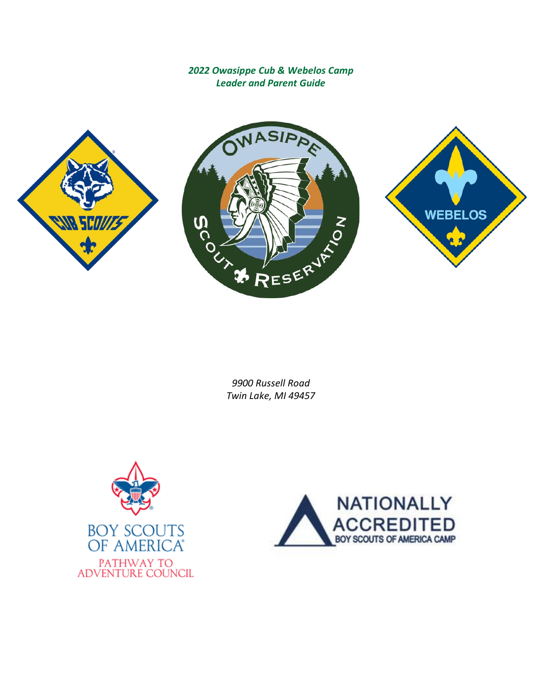*2022 Owasippe Cub & Webelos Camp Leader and Parent Guide*







*9900 Russell Road Twin Lake, MI 49457*



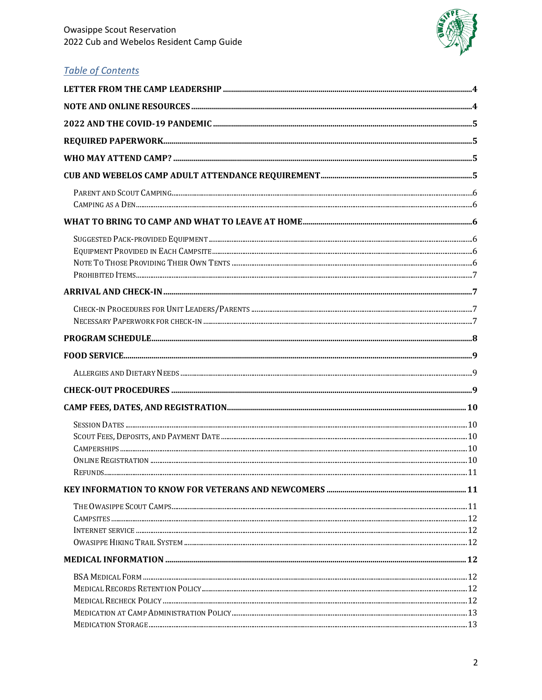

# **Table of Contents**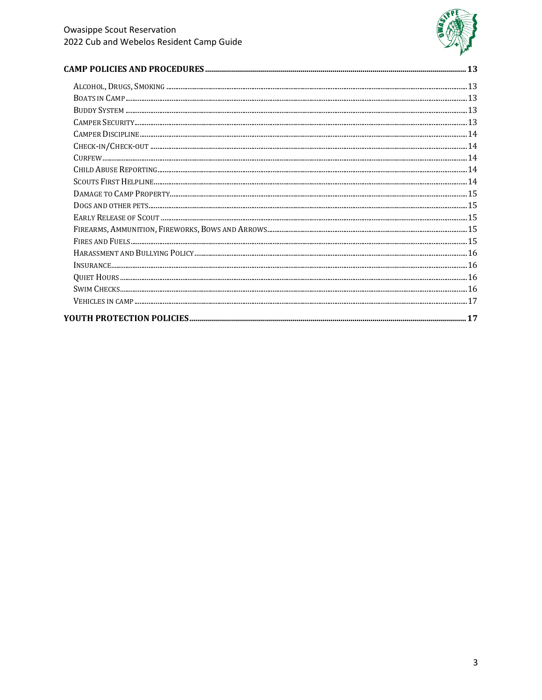

###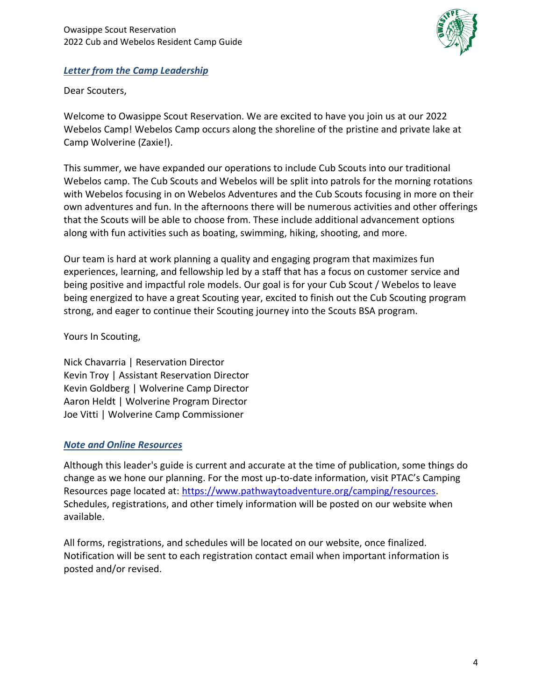

### <span id="page-3-0"></span>*Letter from the Camp Leadership*

Dear Scouters,

Welcome to Owasippe Scout Reservation. We are excited to have you join us at our 2022 Webelos Camp! Webelos Camp occurs along the shoreline of the pristine and private lake at Camp Wolverine (Zaxie!).

This summer, we have expanded our operations to include Cub Scouts into our traditional Webelos camp. The Cub Scouts and Webelos will be split into patrols for the morning rotations with Webelos focusing in on Webelos Adventures and the Cub Scouts focusing in more on their own adventures and fun. In the afternoons there will be numerous activities and other offerings that the Scouts will be able to choose from. These include additional advancement options along with fun activities such as boating, swimming, hiking, shooting, and more.

Our team is hard at work planning a quality and engaging program that maximizes fun experiences, learning, and fellowship led by a staff that has a focus on customer service and being positive and impactful role models. Our goal is for your Cub Scout / Webelos to leave being energized to have a great Scouting year, excited to finish out the Cub Scouting program strong, and eager to continue their Scouting journey into the Scouts BSA program.

Yours In Scouting,

Nick Chavarria | Reservation Director Kevin Troy | Assistant Reservation Director Kevin Goldberg | Wolverine Camp Director Aaron Heldt | Wolverine Program Director Joe Vitti | Wolverine Camp Commissioner

### <span id="page-3-1"></span>*Note and Online Resources*

Although this leader's guide is current and accurate at the time of publication, some things do change as we hone our planning. For the most up-to-date information, visit PTAC's Camping Resources page located at: [https://www.pathwaytoadventure.org/camping/resources.](https://www.pathwaytoadventure.org/camping/resources) Schedules, registrations, and other timely information will be posted on our website when available.

All forms, registrations, and schedules will be located on our website, once finalized. Notification will be sent to each registration contact email when important information is posted and/or revised.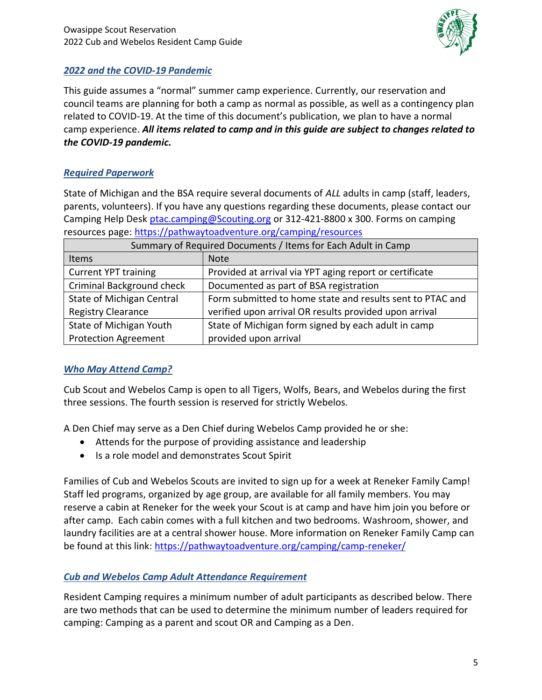

### <span id="page-4-0"></span>*2022 and the COVID-19 Pandemic*

This guide assumes a "normal" summer camp experience. Currently, our reservation and council teams are planning for both a camp as normal as possible, as well as a contingency plan related to COVID-19. At the time of this document's publication, we plan to have a normal camp experience. *All items related to camp and in this guide are subject to changes related to the COVID-19 pandemic.* 

### <span id="page-4-1"></span>*Required Paperwork*

State of Michigan and the BSA require several documents of *ALL* adults in camp (staff, leaders, parents, volunteers). If you have any questions regarding these documents, please contact our Camping Help Desk [ptac.camping@Scouting.org](mailto:ptac.camping@scouting.org) or 312-421-8800 x 300. Forms on camping resources page[: https://pathwaytoadventure.org/camping/resources](https://pathwaytoadventure.org/camping/resources)

| Summary of Required Documents / Items for Each Adult in Camp |                                                           |  |
|--------------------------------------------------------------|-----------------------------------------------------------|--|
| Items                                                        | <b>Note</b>                                               |  |
| <b>Current YPT training</b>                                  | Provided at arrival via YPT aging report or certificate   |  |
| <b>Criminal Background check</b>                             | Documented as part of BSA registration                    |  |
| State of Michigan Central                                    | Form submitted to home state and results sent to PTAC and |  |
| <b>Registry Clearance</b>                                    | verified upon arrival OR results provided upon arrival    |  |
| State of Michigan Youth                                      | State of Michigan form signed by each adult in camp       |  |
| <b>Protection Agreement</b>                                  | provided upon arrival                                     |  |

### <span id="page-4-2"></span>*Who May Attend Camp?*

Cub Scout and Webelos Camp is open to all Tigers, Wolfs, Bears, and Webelos during the first three sessions. The fourth session is reserved for strictly Webelos.

A Den Chief may serve as a Den Chief during Webelos Camp provided he or she:

- Attends for the purpose of providing assistance and leadership
- Is a role model and demonstrates Scout Spirit

Families of Cub and Webelos Scouts are invited to sign up for a week at Reneker Family Camp! Staff led programs, organized by age group, are available for all family members. You may reserve a cabin at Reneker for the week your Scout is at camp and have him join you before or after camp. Each cabin comes with a full kitchen and two bedrooms. Washroom, shower, and laundry facilities are at a central shower house. More information on Reneker Family Camp can be found at this link:<https://pathwaytoadventure.org/camping/camp-reneker/>

### <span id="page-4-3"></span>*Cub and Webelos Camp Adult Attendance Requirement*

Resident Camping requires a minimum number of adult participants as described below. There are two methods that can be used to determine the minimum number of leaders required for camping: Camping as a parent and scout OR and Camping as a Den.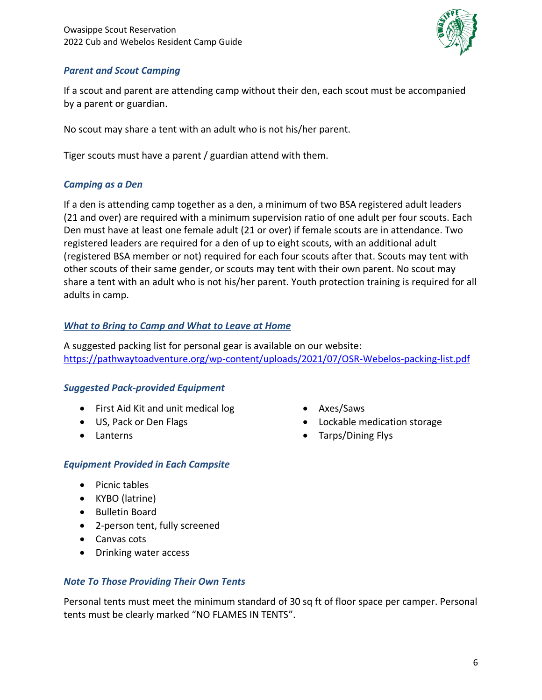

### <span id="page-5-0"></span>*Parent and Scout Camping*

If a scout and parent are attending camp without their den, each scout must be accompanied by a parent or guardian.

No scout may share a tent with an adult who is not his/her parent.

<span id="page-5-1"></span>Tiger scouts must have a parent / guardian attend with them.

## *Camping as a Den*

If a den is attending camp together as a den, a minimum of two BSA registered adult leaders (21 and over) are required with a minimum supervision ratio of one adult per four scouts. Each Den must have at least one female adult (21 or over) if female scouts are in attendance. Two registered leaders are required for a den of up to eight scouts, with an additional adult (registered BSA member or not) required for each four scouts after that. Scouts may tent with other scouts of their same gender, or scouts may tent with their own parent. No scout may share a tent with an adult who is not his/her parent. Youth protection training is required for all adults in camp.

### <span id="page-5-2"></span>*What to Bring to Camp and What to Leave at Home*

A suggested packing list for personal gear is available on our website: <https://pathwaytoadventure.org/wp-content/uploads/2021/07/OSR-Webelos-packing-list.pdf>

## <span id="page-5-3"></span>*Suggested Pack-provided Equipment*

- First Aid Kit and unit medical log
- US, Pack or Den Flags
- Lanterns

## <span id="page-5-4"></span>*Equipment Provided in Each Campsite*

- Picnic tables
- KYBO (latrine)
- Bulletin Board
- 2-person tent, fully screened
- Canvas cots
- Drinking water access

## <span id="page-5-5"></span>*Note To Those Providing Their Own Tents*

Personal tents must meet the minimum standard of 30 sq ft of floor space per camper. Personal tents must be clearly marked "NO FLAMES IN TENTS".

- Axes/Saws
- Lockable medication storage
- Tarps/Dining Flys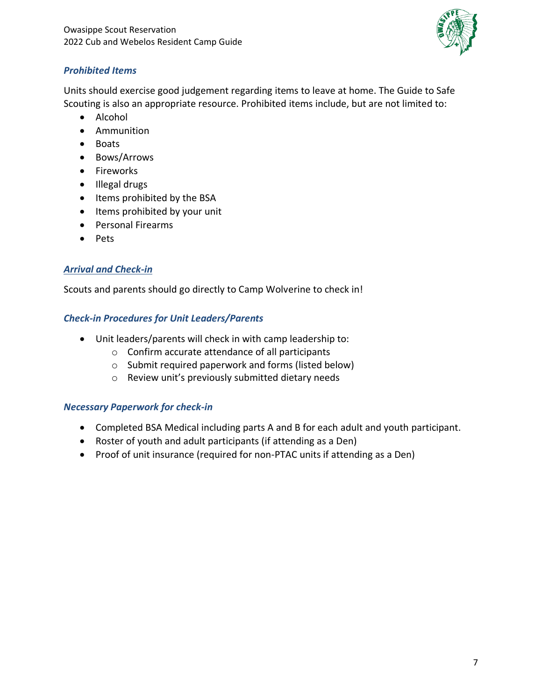

### <span id="page-6-0"></span>*Prohibited Items*

Units should exercise good judgement regarding items to leave at home. The Guide to Safe Scouting is also an appropriate resource. Prohibited items include, but are not limited to:

- Alcohol
- Ammunition
- Boats
- Bows/Arrows
- Fireworks
- Illegal drugs
- Items prohibited by the BSA
- Items prohibited by your unit
- Personal Firearms
- Pets

### <span id="page-6-1"></span>*Arrival and Check-in*

<span id="page-6-2"></span>Scouts and parents should go directly to Camp Wolverine to check in!

### *Check-in Procedures for Unit Leaders/Parents*

- Unit leaders/parents will check in with camp leadership to:
	- o Confirm accurate attendance of all participants
	- o Submit required paperwork and forms (listed below)
	- o Review unit's previously submitted dietary needs

### <span id="page-6-3"></span>*Necessary Paperwork for check-in*

- Completed BSA Medical including parts A and B for each adult and youth participant.
- Roster of youth and adult participants (if attending as a Den)
- Proof of unit insurance (required for non-PTAC units if attending as a Den)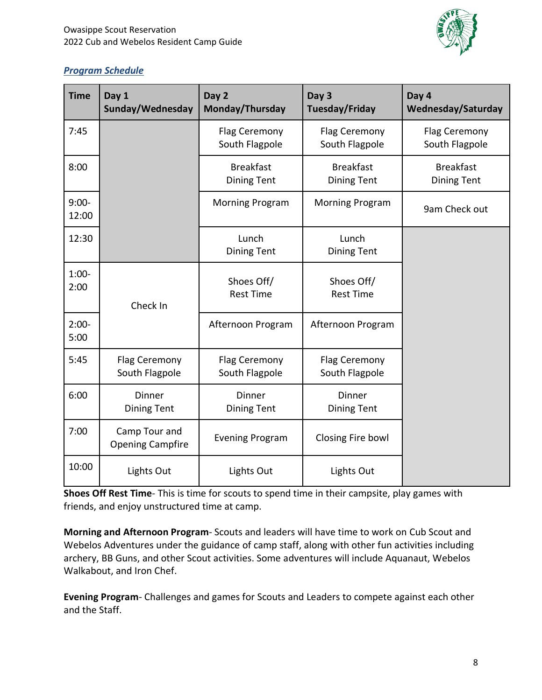

## <span id="page-7-0"></span>*Program Schedule*

| <b>Time</b>      | Day 1<br>Sunday/Wednesday                | Day 2<br>Monday/Thursday               | Day 3<br>Tuesday/Friday                | Day 4<br>Wednesday/Saturday            |
|------------------|------------------------------------------|----------------------------------------|----------------------------------------|----------------------------------------|
| 7:45             |                                          | Flag Ceremony<br>South Flagpole        | Flag Ceremony<br>South Flagpole        | Flag Ceremony<br>South Flagpole        |
| 8:00             |                                          | <b>Breakfast</b><br><b>Dining Tent</b> | <b>Breakfast</b><br><b>Dining Tent</b> | <b>Breakfast</b><br><b>Dining Tent</b> |
| $9:00-$<br>12:00 |                                          | <b>Morning Program</b>                 | <b>Morning Program</b>                 | 9am Check out                          |
| 12:30            |                                          | Lunch<br><b>Dining Tent</b>            | Lunch<br><b>Dining Tent</b>            |                                        |
| $1:00-$<br>2:00  | Check In                                 | Shoes Off/<br><b>Rest Time</b>         | Shoes Off/<br><b>Rest Time</b>         |                                        |
| $2:00-$<br>5:00  |                                          | Afternoon Program                      | Afternoon Program                      |                                        |
| 5:45             | Flag Ceremony<br>South Flagpole          | Flag Ceremony<br>South Flagpole        | Flag Ceremony<br>South Flagpole        |                                        |
| 6:00             | <b>Dinner</b><br><b>Dining Tent</b>      | Dinner<br><b>Dining Tent</b>           | Dinner<br><b>Dining Tent</b>           |                                        |
| 7:00             | Camp Tour and<br><b>Opening Campfire</b> | <b>Evening Program</b>                 | Closing Fire bowl                      |                                        |
| 10:00            | Lights Out                               | Lights Out                             | Lights Out                             |                                        |

**Shoes Off Rest Time**- This is time for scouts to spend time in their campsite, play games with friends, and enjoy unstructured time at camp.

**Morning and Afternoon Program**- Scouts and leaders will have time to work on Cub Scout and Webelos Adventures under the guidance of camp staff, along with other fun activities including archery, BB Guns, and other Scout activities. Some adventures will include Aquanaut, Webelos Walkabout, and Iron Chef.

**Evening Program**- Challenges and games for Scouts and Leaders to compete against each other and the Staff.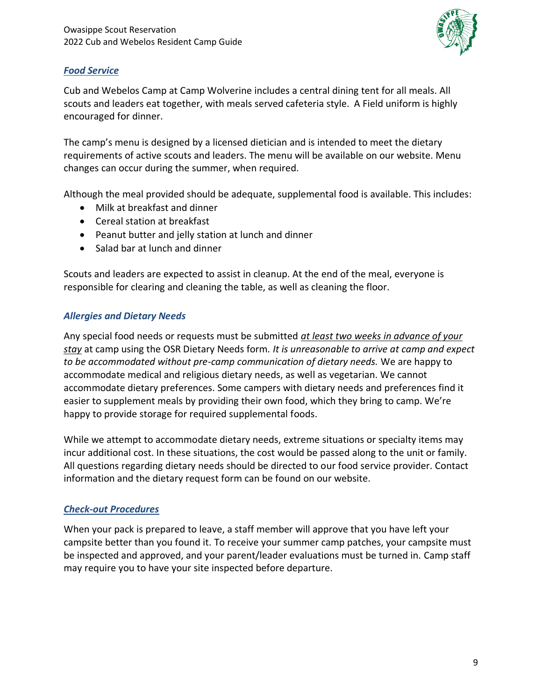

### <span id="page-8-0"></span>*Food Service*

Cub and Webelos Camp at Camp Wolverine includes a central dining tent for all meals. All scouts and leaders eat together, with meals served cafeteria style. A Field uniform is highly encouraged for dinner.

The camp's menu is designed by a licensed dietician and is intended to meet the dietary requirements of active scouts and leaders. The menu will be available on our website. Menu changes can occur during the summer, when required.

Although the meal provided should be adequate, supplemental food is available. This includes:

- Milk at breakfast and dinner
- Cereal station at breakfast
- Peanut butter and jelly station at lunch and dinner
- Salad bar at lunch and dinner

Scouts and leaders are expected to assist in cleanup. At the end of the meal, everyone is responsible for clearing and cleaning the table, as well as cleaning the floor.

## <span id="page-8-1"></span>*Allergies and Dietary Needs*

Any special food needs or requests must be submitted *at least two weeks in advance of your stay* at camp using the OSR Dietary Needs form*. It is unreasonable to arrive at camp and expect to be accommodated without pre-camp communication of dietary needs.* We are happy to accommodate medical and religious dietary needs, as well as vegetarian. We cannot accommodate dietary preferences. Some campers with dietary needs and preferences find it easier to supplement meals by providing their own food, which they bring to camp. We're happy to provide storage for required supplemental foods.

While we attempt to accommodate dietary needs, extreme situations or specialty items may incur additional cost. In these situations, the cost would be passed along to the unit or family*.* All questions regarding dietary needs should be directed to our food service provider. Contact information and the dietary request form can be found on our website.

### <span id="page-8-2"></span>*Check-out Procedures*

When your pack is prepared to leave, a staff member will approve that you have left your campsite better than you found it. To receive your summer camp patches, your campsite must be inspected and approved, and your parent/leader evaluations must be turned in. Camp staff may require you to have your site inspected before departure.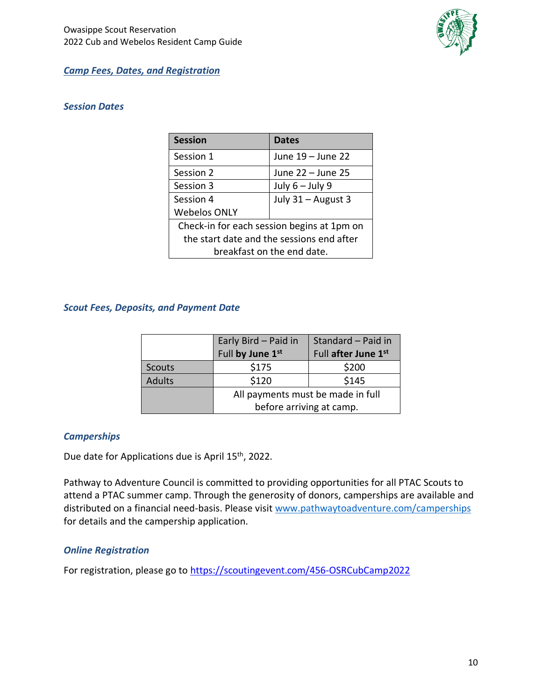

#### <span id="page-9-0"></span>*Camp Fees, Dates, and Registration*

#### <span id="page-9-1"></span>*Session Dates*

| <b>Session</b>                             | <b>Dates</b>       |  |
|--------------------------------------------|--------------------|--|
| Session 1                                  | June 19 - June 22  |  |
| Session 2                                  | June 22 - June 25  |  |
| Session 3                                  | July $6 -$ July 9  |  |
| Session 4                                  | July 31 - August 3 |  |
| <b>Webelos ONLY</b>                        |                    |  |
| Check-in for each session begins at 1pm on |                    |  |
| the start date and the sessions end after  |                    |  |
| breakfast on the end date.                 |                    |  |

#### <span id="page-9-2"></span>*Scout Fees, Deposits, and Payment Date*

|               | Early Bird - Paid in              | Standard - Paid in  |
|---------------|-----------------------------------|---------------------|
|               | Full by June 1st                  | Full after June 1st |
| <b>Scouts</b> | \$175                             | \$200               |
| <b>Adults</b> | \$120                             | \$145               |
|               | All payments must be made in full |                     |
|               | before arriving at camp.          |                     |

#### <span id="page-9-3"></span>*Camperships*

Due date for Applications due is April 15<sup>th</sup>, 2022.

Pathway to Adventure Council is committed to providing opportunities for all PTAC Scouts to attend a PTAC summer camp. Through the generosity of donors, camperships are available and distributed on a financial need-basis. Please visi[t www.pathwaytoadventure.com/camperships](http://www.pathwaytoadventure.com/camperships) for details and the campership application.

#### <span id="page-9-4"></span>*Online Registration*

For registration, please go to<https://scoutingevent.com/456-OSRCubCamp2022>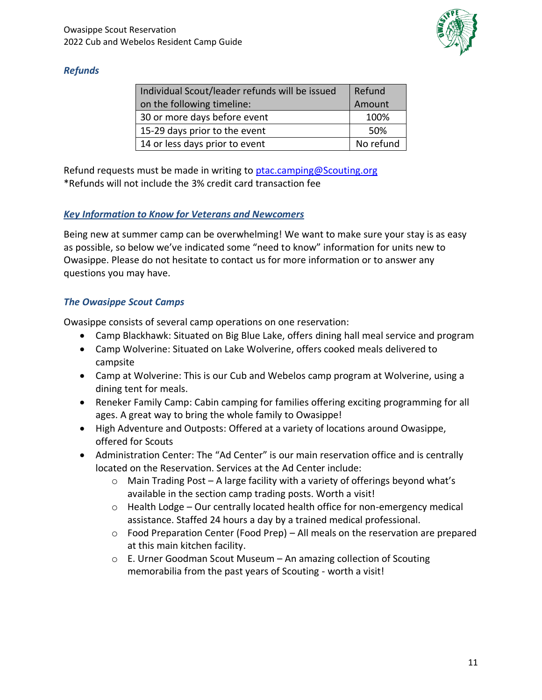

### <span id="page-10-0"></span>*Refunds*

| Individual Scout/leader refunds will be issued | Refund    |
|------------------------------------------------|-----------|
| on the following timeline:                     | Amount    |
| 30 or more days before event                   | 100%      |
| 15-29 days prior to the event                  | .50%      |
| 14 or less days prior to event                 | No refund |

Refund requests must be made in writing to [ptac.camping@Scouting.org](mailto:ptac.camping@scouting.org) \*Refunds will not include the 3% credit card transaction fee

### <span id="page-10-1"></span>*Key Information to Know for Veterans and Newcomers*

Being new at summer camp can be overwhelming! We want to make sure your stay is as easy as possible, so below we've indicated some "need to know" information for units new to Owasippe. Please do not hesitate to contact us for more information or to answer any questions you may have.

### <span id="page-10-2"></span>*The Owasippe Scout Camps*

Owasippe consists of several camp operations on one reservation:

- Camp Blackhawk: Situated on Big Blue Lake, offers dining hall meal service and program
- Camp Wolverine: Situated on Lake Wolverine, offers cooked meals delivered to campsite
- Camp at Wolverine: This is our Cub and Webelos camp program at Wolverine, using a dining tent for meals.
- Reneker Family Camp: Cabin camping for families offering exciting programming for all ages. A great way to bring the whole family to Owasippe!
- High Adventure and Outposts: Offered at a variety of locations around Owasippe, offered for Scouts
- Administration Center: The "Ad Center" is our main reservation office and is centrally located on the Reservation. Services at the Ad Center include:
	- o Main Trading Post A large facility with a variety of offerings beyond what's available in the section camp trading posts. Worth a visit!
	- $\circ$  Health Lodge Our centrally located health office for non-emergency medical assistance. Staffed 24 hours a day by a trained medical professional.
	- o Food Preparation Center (Food Prep) All meals on the reservation are prepared at this main kitchen facility.
	- o E. Urner Goodman Scout Museum An amazing collection of Scouting memorabilia from the past years of Scouting - worth a visit!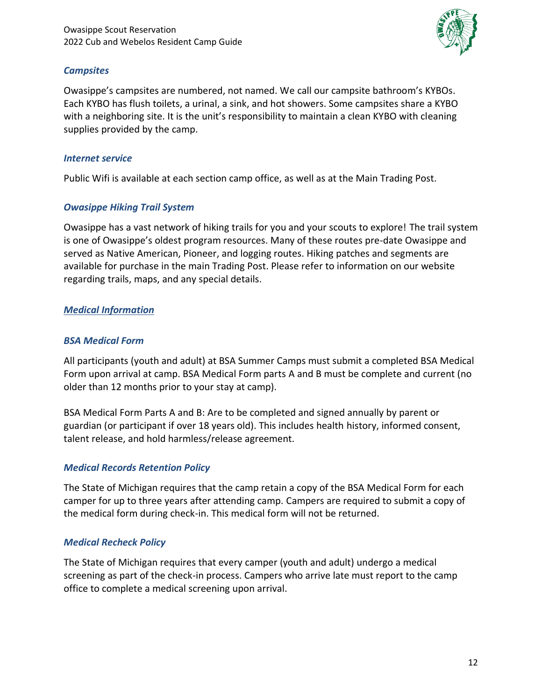

#### <span id="page-11-0"></span>*Campsites*

Owasippe's campsites are numbered, not named. We call our campsite bathroom's KYBOs. Each KYBO has flush toilets, a urinal, a sink, and hot showers. Some campsites share a KYBO with a neighboring site. It is the unit's responsibility to maintain a clean KYBO with cleaning supplies provided by the camp.

#### <span id="page-11-1"></span>*Internet service*

<span id="page-11-2"></span>Public Wifi is available at each section camp office, as well as at the Main Trading Post.

### *Owasippe Hiking Trail System*

Owasippe has a vast network of hiking trails for you and your scouts to explore! The trail system is one of Owasippe's oldest program resources. Many of these routes pre-date Owasippe and served as Native American, Pioneer, and logging routes. Hiking patches and segments are available for purchase in the main Trading Post. Please refer to information on our website regarding trails, maps, and any special details.

### <span id="page-11-3"></span>*Medical Information*

### <span id="page-11-4"></span>*BSA Medical Form*

All participants (youth and adult) at BSA Summer Camps must submit a completed BSA Medical Form upon arrival at camp. BSA Medical Form parts A and B must be complete and current (no older than 12 months prior to your stay at camp).

BSA Medical Form Parts A and B: Are to be completed and signed annually by parent or guardian (or participant if over 18 years old). This includes health history, informed consent, talent release, and hold harmless/release agreement.

### <span id="page-11-5"></span>*Medical Records Retention Policy*

The State of Michigan requires that the camp retain a copy of the BSA Medical Form for each camper for up to three years after attending camp. Campers are required to submit a copy of the medical form during check-in. This medical form will not be returned.

### <span id="page-11-6"></span>*Medical Recheck Policy*

The State of Michigan requires that every camper (youth and adult) undergo a medical screening as part of the check-in process. Campers who arrive late must report to the camp office to complete a medical screening upon arrival.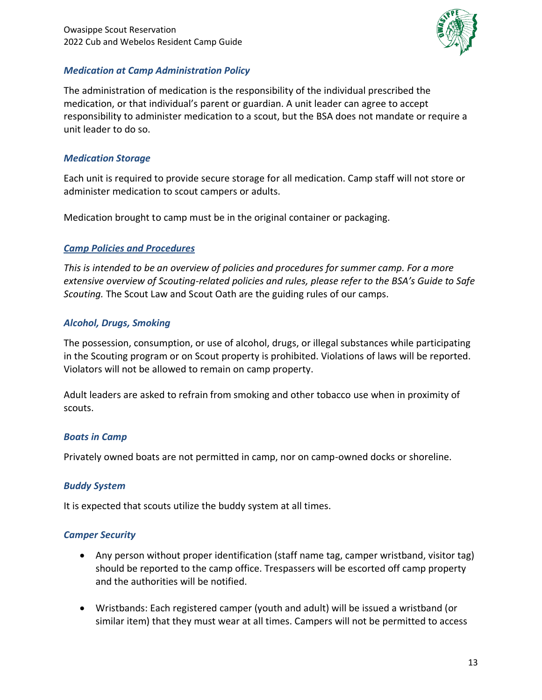

#### <span id="page-12-0"></span>*Medication at Camp Administration Policy*

The administration of medication is the responsibility of the individual prescribed the medication, or that individual's parent or guardian. A unit leader can agree to accept responsibility to administer medication to a scout, but the BSA does not mandate or require a unit leader to do so.

#### <span id="page-12-1"></span>*Medication Storage*

Each unit is required to provide secure storage for all medication. Camp staff will not store or administer medication to scout campers or adults.

<span id="page-12-2"></span>Medication brought to camp must be in the original container or packaging.

### *Camp Policies and Procedures*

*This is intended to be an overview of policies and procedures for summer camp. For a more extensive overview of Scouting-related policies and rules, please refer to the BSA's Guide to Safe Scouting.* The Scout Law and Scout Oath are the guiding rules of our camps.

### <span id="page-12-3"></span>*Alcohol, Drugs, Smoking*

The possession, consumption, or use of alcohol, drugs, or illegal substances while participating in the Scouting program or on Scout property is prohibited. Violations of laws will be reported. Violators will not be allowed to remain on camp property.

Adult leaders are asked to refrain from smoking and other tobacco use when in proximity of scouts.

### <span id="page-12-4"></span>*Boats in Camp*

<span id="page-12-5"></span>Privately owned boats are not permitted in camp, nor on camp-owned docks or shoreline.

### *Buddy System*

<span id="page-12-6"></span>It is expected that scouts utilize the buddy system at all times.

### *Camper Security*

- Any person without proper identification (staff name tag, camper wristband, visitor tag) should be reported to the camp office. Trespassers will be escorted off camp property and the authorities will be notified.
- Wristbands: Each registered camper (youth and adult) will be issued a wristband (or similar item) that they must wear at all times. Campers will not be permitted to access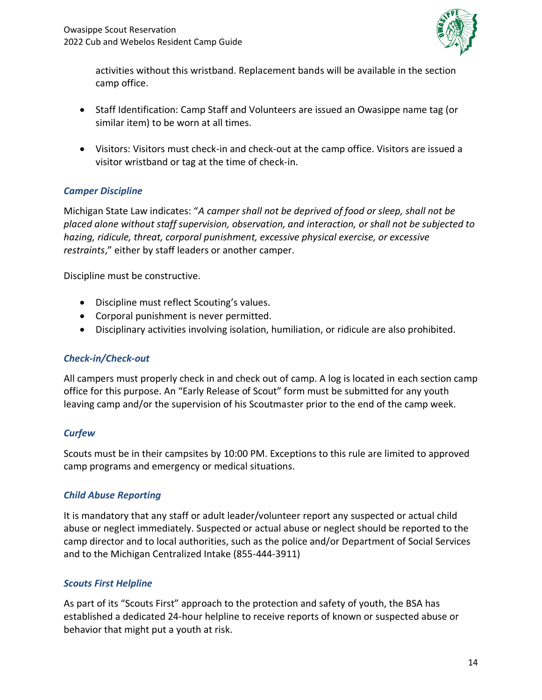

activities without this wristband. Replacement bands will be available in the section camp office.

- Staff Identification: Camp Staff and Volunteers are issued an Owasippe name tag (or similar item) to be worn at all times.
- Visitors: Visitors must check-in and check-out at the camp office. Visitors are issued a visitor wristband or tag at the time of check-in.

### <span id="page-13-0"></span>*Camper Discipline*

Michigan State Law indicates: "*A camper shall not be deprived of food or sleep, shall not be placed alone without staff supervision, observation, and interaction, or shall not be subjected to hazing, ridicule, threat, corporal punishment, excessive physical exercise, or excessive restraints*," either by staff leaders or another camper.

Discipline must be constructive.

- Discipline must reflect Scouting's values.
- Corporal punishment is never permitted.
- Disciplinary activities involving isolation, humiliation, or ridicule are also prohibited.

### <span id="page-13-1"></span>*Check-in/Check-out*

All campers must properly check in and check out of camp. A log is located in each section camp office for this purpose. An "Early Release of Scout" form must be submitted for any youth leaving camp and/or the supervision of his Scoutmaster prior to the end of the camp week.

### <span id="page-13-2"></span>*Curfew*

Scouts must be in their campsites by 10:00 PM. Exceptions to this rule are limited to approved camp programs and emergency or medical situations.

## <span id="page-13-3"></span>*Child Abuse Reporting*

It is mandatory that any staff or adult leader/volunteer report any suspected or actual child abuse or neglect immediately. Suspected or actual abuse or neglect should be reported to the camp director and to local authorities, such as the police and/or Department of Social Services and to the Michigan Centralized Intake (855-444-3911)

## <span id="page-13-4"></span>*Scouts First Helpline*

As part of its "Scouts First" approach to the protection and safety of youth, the BSA has established a dedicated 24-hour helpline to receive reports of known or suspected abuse or behavior that might put a youth at risk.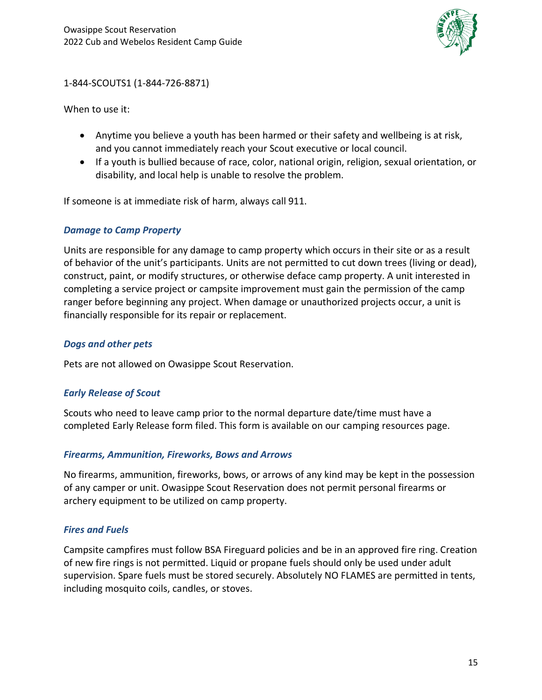

1-844-SCOUTS1 (1-844-726-8871)

When to use it:

- Anytime you believe a youth has been harmed or their safety and wellbeing is at risk, and you cannot immediately reach your Scout executive or local council.
- If a youth is bullied because of race, color, national origin, religion, sexual orientation, or disability, and local help is unable to resolve the problem.

<span id="page-14-0"></span>If someone is at immediate risk of harm, always call 911.

### *Damage to Camp Property*

Units are responsible for any damage to camp property which occurs in their site or as a result of behavior of the unit's participants. Units are not permitted to cut down trees (living or dead), construct, paint, or modify structures, or otherwise deface camp property. A unit interested in completing a service project or campsite improvement must gain the permission of the camp ranger before beginning any project. When damage or unauthorized projects occur, a unit is financially responsible for its repair or replacement.

#### <span id="page-14-1"></span>*Dogs and other pets*

<span id="page-14-2"></span>Pets are not allowed on Owasippe Scout Reservation.

### *Early Release of Scout*

Scouts who need to leave camp prior to the normal departure date/time must have a completed Early Release form filed. This form is available on our camping resources page.

### <span id="page-14-3"></span>*Firearms, Ammunition, Fireworks, Bows and Arrows*

No firearms, ammunition, fireworks, bows, or arrows of any kind may be kept in the possession of any camper or unit. Owasippe Scout Reservation does not permit personal firearms or archery equipment to be utilized on camp property.

### <span id="page-14-4"></span>*Fires and Fuels*

Campsite campfires must follow BSA Fireguard policies and be in an approved fire ring. Creation of new fire rings is not permitted. Liquid or propane fuels should only be used under adult supervision. Spare fuels must be stored securely. Absolutely NO FLAMES are permitted in tents, including mosquito coils, candles, or stoves.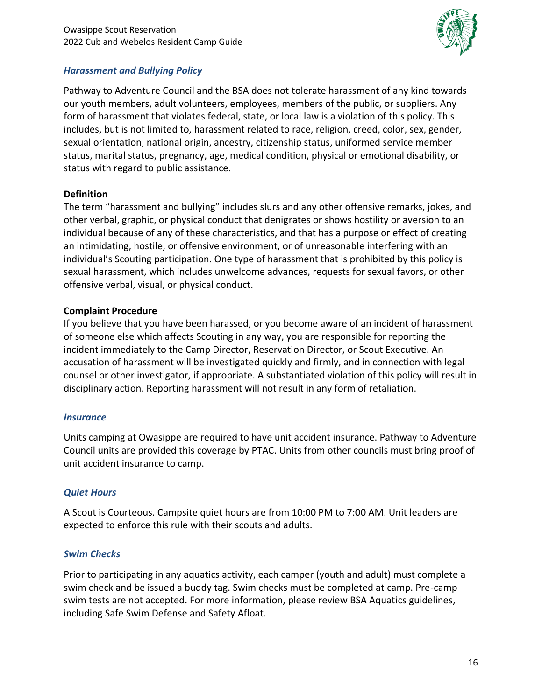

#### <span id="page-15-0"></span>*Harassment and Bullying Policy*

Pathway to Adventure Council and the BSA does not tolerate harassment of any kind towards our youth members, adult volunteers, employees, members of the public, or suppliers. Any form of harassment that violates federal, state, or local law is a violation of this policy. This includes, but is not limited to, harassment related to race, religion, creed, color, sex, gender, sexual orientation, national origin, ancestry, citizenship status, uniformed service member status, marital status, pregnancy, age, medical condition, physical or emotional disability, or status with regard to public assistance.

#### **Definition**

The term "harassment and bullying" includes slurs and any other offensive remarks, jokes, and other verbal, graphic, or physical conduct that denigrates or shows hostility or aversion to an individual because of any of these characteristics, and that has a purpose or effect of creating an intimidating, hostile, or offensive environment, or of unreasonable interfering with an individual's Scouting participation. One type of harassment that is prohibited by this policy is sexual harassment, which includes unwelcome advances, requests for sexual favors, or other offensive verbal, visual, or physical conduct.

#### **Complaint Procedure**

If you believe that you have been harassed, or you become aware of an incident of harassment of someone else which affects Scouting in any way, you are responsible for reporting the incident immediately to the Camp Director, Reservation Director, or Scout Executive. An accusation of harassment will be investigated quickly and firmly, and in connection with legal counsel or other investigator, if appropriate. A substantiated violation of this policy will result in disciplinary action. Reporting harassment will not result in any form of retaliation.

### <span id="page-15-1"></span>*Insurance*

Units camping at Owasippe are required to have unit accident insurance. Pathway to Adventure Council units are provided this coverage by PTAC. Units from other councils must bring proof of unit accident insurance to camp.

### <span id="page-15-2"></span>*Quiet Hours*

A Scout is Courteous. Campsite quiet hours are from 10:00 PM to 7:00 AM. Unit leaders are expected to enforce this rule with their scouts and adults.

### <span id="page-15-3"></span>*Swim Checks*

Prior to participating in any aquatics activity, each camper (youth and adult) must complete a swim check and be issued a buddy tag. Swim checks must be completed at camp. Pre-camp swim tests are not accepted. For more information, please review BSA Aquatics guidelines, including Safe Swim Defense and Safety Afloat.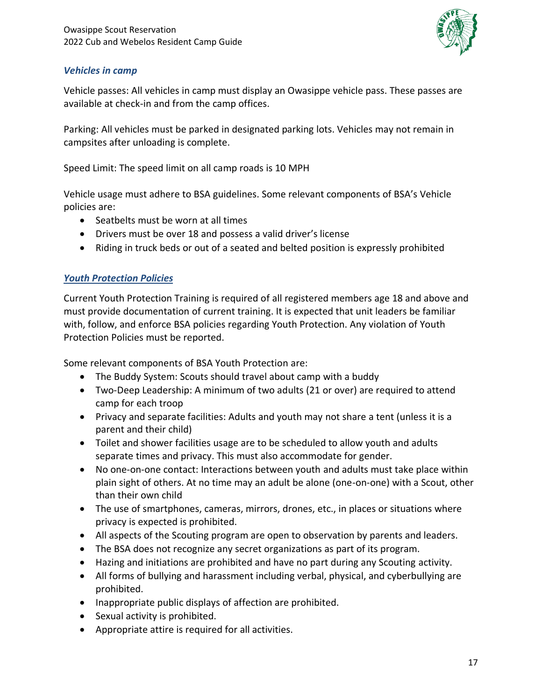

### <span id="page-16-0"></span>*Vehicles in camp*

Vehicle passes: All vehicles in camp must display an Owasippe vehicle pass. These passes are available at check-in and from the camp offices.

Parking: All vehicles must be parked in designated parking lots. Vehicles may not remain in campsites after unloading is complete.

Speed Limit: The speed limit on all camp roads is 10 MPH

Vehicle usage must adhere to BSA guidelines. Some relevant components of BSA's Vehicle policies are:

- Seatbelts must be worn at all times
- Drivers must be over 18 and possess a valid driver's license
- Riding in truck beds or out of a seated and belted position is expressly prohibited

### <span id="page-16-1"></span>*Youth Protection Policies*

Current Youth Protection Training is required of all registered members age 18 and above and must provide documentation of current training. It is expected that unit leaders be familiar with, follow, and enforce BSA policies regarding Youth Protection. Any violation of Youth Protection Policies must be reported.

Some relevant components of BSA Youth Protection are:

- The Buddy System: Scouts should travel about camp with a buddy
- Two-Deep Leadership: A minimum of two adults (21 or over) are required to attend camp for each troop
- Privacy and separate facilities: Adults and youth may not share a tent (unless it is a parent and their child)
- Toilet and shower facilities usage are to be scheduled to allow youth and adults separate times and privacy. This must also accommodate for gender.
- No one-on-one contact: Interactions between youth and adults must take place within plain sight of others. At no time may an adult be alone (one-on-one) with a Scout, other than their own child
- The use of smartphones, cameras, mirrors, drones, etc., in places or situations where privacy is expected is prohibited.
- All aspects of the Scouting program are open to observation by parents and leaders.
- The BSA does not recognize any secret organizations as part of its program.
- Hazing and initiations are prohibited and have no part during any Scouting activity.
- All forms of bullying and harassment including verbal, physical, and cyberbullying are prohibited.
- Inappropriate public displays of affection are prohibited.
- Sexual activity is prohibited.
- Appropriate attire is required for all activities.